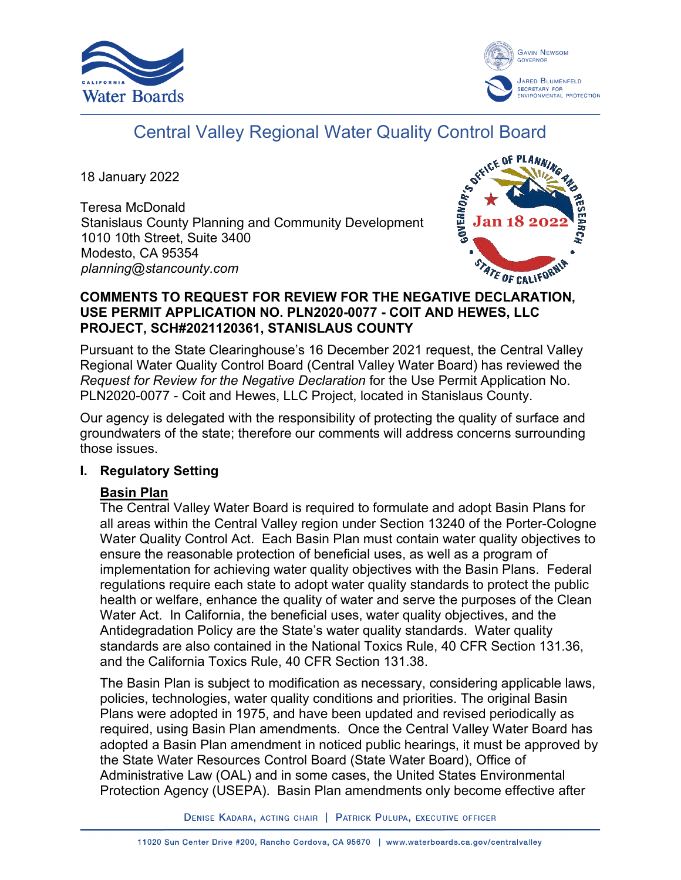



# Central Valley Regional Water Quality Control Board

18 January 2022

Teresa McDonald Stanislaus County Planning and Community Development 1010 10th Street, Suite 3400 Modesto, CA 95354 *planning@stancounty.com*



#### **COMMENTS TO REQUEST FOR REVIEW FOR THE NEGATIVE DECLARATION, USE PERMIT APPLICATION NO. PLN2020-0077 - COIT AND HEWES, LLC PROJECT, SCH#2021120361, STANISLAUS COUNTY**

Pursuant to the State Clearinghouse's 16 December 2021 request, the Central Valley Regional Water Quality Control Board (Central Valley Water Board) has reviewed the *Request for Review for the Negative Declaration* for the Use Permit Application No. PLN2020-0077 - Coit and Hewes, LLC Project, located in Stanislaus County.

Our agency is delegated with the responsibility of protecting the quality of surface and groundwaters of the state; therefore our comments will address concerns surrounding those issues.

## **I. Regulatory Setting**

## **Basin Plan**

The Central Valley Water Board is required to formulate and adopt Basin Plans for all areas within the Central Valley region under Section 13240 of the Porter-Cologne Water Quality Control Act. Each Basin Plan must contain water quality objectives to ensure the reasonable protection of beneficial uses, as well as a program of implementation for achieving water quality objectives with the Basin Plans. Federal regulations require each state to adopt water quality standards to protect the public health or welfare, enhance the quality of water and serve the purposes of the Clean Water Act. In California, the beneficial uses, water quality objectives, and the Antidegradation Policy are the State's water quality standards. Water quality standards are also contained in the National Toxics Rule, 40 CFR Section 131.36, and the California Toxics Rule, 40 CFR Section 131.38.

The Basin Plan is subject to modification as necessary, considering applicable laws, policies, technologies, water quality conditions and priorities. The original Basin Plans were adopted in 1975, and have been updated and revised periodically as required, using Basin Plan amendments. Once the Central Valley Water Board has adopted a Basin Plan amendment in noticed public hearings, it must be approved by the State Water Resources Control Board (State Water Board), Office of Administrative Law (OAL) and in some cases, the United States Environmental Protection Agency (USEPA). Basin Plan amendments only become effective after

DENISE KADARA, ACTING CHAIR | PATRICK PULUPA, EXECUTIVE OFFICER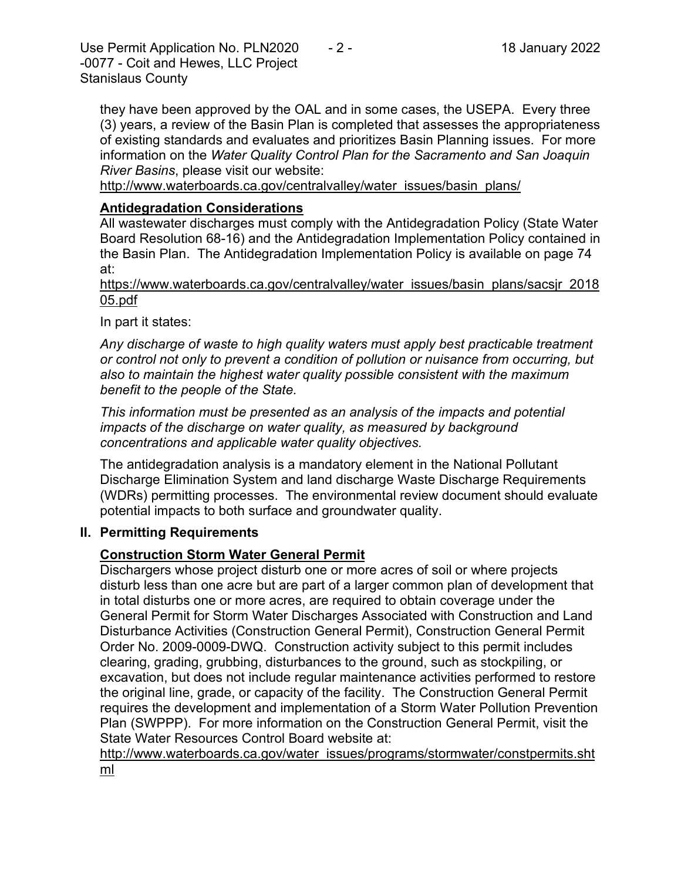Use Permit Application No. PLN2020 - 2 - 18 January 2022 -0077 - Coit and Hewes, LLC Project Stanislaus County

they have been approved by the OAL and in some cases, the USEPA. Every three (3) years, a review of the Basin Plan is completed that assesses the appropriateness of existing standards and evaluates and prioritizes Basin Planning issues. For more information on the *Water Quality Control Plan for the Sacramento and San Joaquin River Basins*, please visit our website:

[http://www.waterboards.ca.gov/centralvalley/water\\_issues/basin\\_plans/](http://www.waterboards.ca.gov/centralvalley/water_issues/basin_plans/)

#### **Antidegradation Considerations**

All wastewater discharges must comply with the Antidegradation Policy (State Water Board Resolution 68-16) and the Antidegradation Implementation Policy contained in the Basin Plan. The Antidegradation Implementation Policy is available on page 74 at:

https://www.waterboards.ca.gov/centralvalley/water\_issues/basin\_plans/sacsjr\_2018 05.pdf

In part it states:

*Any discharge of waste to high quality waters must apply best practicable treatment or control not only to prevent a condition of pollution or nuisance from occurring, but also to maintain the highest water quality possible consistent with the maximum benefit to the people of the State.*

*This information must be presented as an analysis of the impacts and potential impacts of the discharge on water quality, as measured by background concentrations and applicable water quality objectives.*

The antidegradation analysis is a mandatory element in the National Pollutant Discharge Elimination System and land discharge Waste Discharge Requirements (WDRs) permitting processes. The environmental review document should evaluate potential impacts to both surface and groundwater quality.

## **II. Permitting Requirements**

## **Construction Storm Water General Permit**

Dischargers whose project disturb one or more acres of soil or where projects disturb less than one acre but are part of a larger common plan of development that in total disturbs one or more acres, are required to obtain coverage under the General Permit for Storm Water Discharges Associated with Construction and Land Disturbance Activities (Construction General Permit), Construction General Permit Order No. 2009-0009-DWQ. Construction activity subject to this permit includes clearing, grading, grubbing, disturbances to the ground, such as stockpiling, or excavation, but does not include regular maintenance activities performed to restore the original line, grade, or capacity of the facility. The Construction General Permit requires the development and implementation of a Storm Water Pollution Prevention Plan (SWPPP). For more information on the Construction General Permit, visit the State Water Resources Control Board website at:

[http://www.waterboards.ca.gov/water\\_issues/programs/stormwater/constpermits.sht](http://www.waterboards.ca.gov/water_issues/programs/stormwater/constpermits.shtml) [ml](http://www.waterboards.ca.gov/water_issues/programs/stormwater/constpermits.shtml)